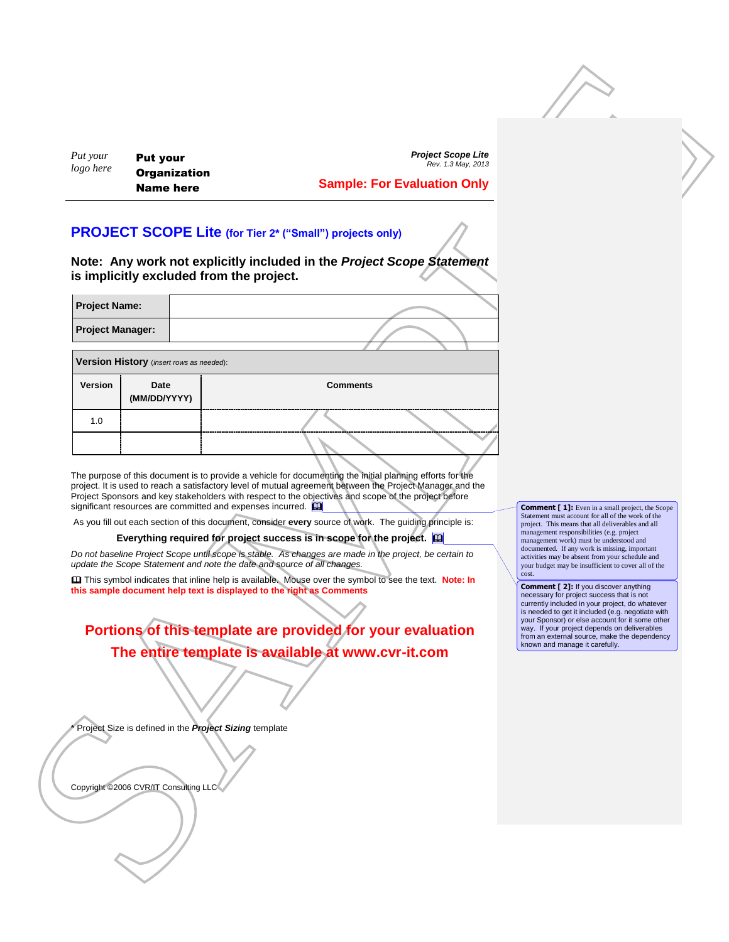## **Sample: For Evaluation Only**

## **PROJECT SCOPE Lite (for Tier 2\* ("Small") projects only)**

| <b>Project Name:</b>    |  |
|-------------------------|--|
| <b>Project Manager:</b> |  |
|                         |  |

| Put your<br>logo here                                      | <b>Put your</b><br><b>Organization</b><br><b>Name here</b>                                                                     | <b>Sample: For Evaluation Only</b>                                                                                                                                                                                                                                                                                                                                                                                                                                                                                                                                                                                                                                                                                                                                                                                                                                                                                                                                                                                       | <b>Project Scope Lite</b><br>Rev. 1.3 May, 2013 |                                                                                                                                                                                                                                                                                                                                                                                                                                                                                                                                                                                                                                                                                                                                                                                                                        |  |
|------------------------------------------------------------|--------------------------------------------------------------------------------------------------------------------------------|--------------------------------------------------------------------------------------------------------------------------------------------------------------------------------------------------------------------------------------------------------------------------------------------------------------------------------------------------------------------------------------------------------------------------------------------------------------------------------------------------------------------------------------------------------------------------------------------------------------------------------------------------------------------------------------------------------------------------------------------------------------------------------------------------------------------------------------------------------------------------------------------------------------------------------------------------------------------------------------------------------------------------|-------------------------------------------------|------------------------------------------------------------------------------------------------------------------------------------------------------------------------------------------------------------------------------------------------------------------------------------------------------------------------------------------------------------------------------------------------------------------------------------------------------------------------------------------------------------------------------------------------------------------------------------------------------------------------------------------------------------------------------------------------------------------------------------------------------------------------------------------------------------------------|--|
|                                                            | is implicitly excluded from the project.                                                                                       | <b>PROJECT SCOPE Lite (for Tier 2* ("Small") projects only)</b><br>Note: Any work not explicitly included in the Project Scope Statement                                                                                                                                                                                                                                                                                                                                                                                                                                                                                                                                                                                                                                                                                                                                                                                                                                                                                 |                                                 |                                                                                                                                                                                                                                                                                                                                                                                                                                                                                                                                                                                                                                                                                                                                                                                                                        |  |
| <b>Project Name:</b><br><b>Project Manager:</b>            |                                                                                                                                |                                                                                                                                                                                                                                                                                                                                                                                                                                                                                                                                                                                                                                                                                                                                                                                                                                                                                                                                                                                                                          |                                                 |                                                                                                                                                                                                                                                                                                                                                                                                                                                                                                                                                                                                                                                                                                                                                                                                                        |  |
|                                                            |                                                                                                                                |                                                                                                                                                                                                                                                                                                                                                                                                                                                                                                                                                                                                                                                                                                                                                                                                                                                                                                                                                                                                                          |                                                 |                                                                                                                                                                                                                                                                                                                                                                                                                                                                                                                                                                                                                                                                                                                                                                                                                        |  |
| Version History (insert rows as needed):<br><b>Version</b> | Date<br>(MM/DD/YYYY)                                                                                                           | <b>Comments</b>                                                                                                                                                                                                                                                                                                                                                                                                                                                                                                                                                                                                                                                                                                                                                                                                                                                                                                                                                                                                          |                                                 |                                                                                                                                                                                                                                                                                                                                                                                                                                                                                                                                                                                                                                                                                                                                                                                                                        |  |
| 1.0                                                        |                                                                                                                                |                                                                                                                                                                                                                                                                                                                                                                                                                                                                                                                                                                                                                                                                                                                                                                                                                                                                                                                                                                                                                          |                                                 |                                                                                                                                                                                                                                                                                                                                                                                                                                                                                                                                                                                                                                                                                                                                                                                                                        |  |
|                                                            | significant resources are committed and expenses incurred. $\square$<br>Project Size is defined in the Project Sizing template | The purpose of this document is to provide a vehicle for documenting the initial planning efforts for the<br>project. It is used to reach a satisfactory level of mutual agreement between the Project Manager and the<br>Project Sponsors and key stakeholders with respect to the objectives and scope of the project before<br>As you fill out each section of this document, consider every source of work. The guiding principle is:<br>Everything required for project success is in scope for the project. [1]<br>Do not baseline Project Scope until scope is stable. As changes are made in the project, be certain to<br>update the Scope Statement and note the date and source of all changes.<br><b>ED</b> This symbol indicates that inline help is available. Mouse over the symbol to see the text. Note: In<br>this sample document help text is displayed to the right as Comments<br>Portions of this template are provided for your evaluation<br>The entire template is available at www.cvr-it.com |                                                 | <b>Comment</b> [1]: Even in a small project, the Scope<br>Statement must account for all of the work of the<br>project. This means that all deliverables and all<br>management responsibilities (e.g. project<br>management work) must be understood and<br>documented. If any work is missing, important<br>activities may be absent from your schedule and<br>your budget may be insufficient to cover all of the<br>cost.<br><b>Comment [2]:</b> If you discover anything<br>necessary for project success that is not<br>currently included in your project, do whatever<br>is needed to get it included (e.g. negotiate with<br>your Sponsor) or else account for it some other<br>way. If your project depends on deliverables<br>from an external source, make the dependency<br>known and manage it carefully. |  |

## **Portions of this template are provided for your evaluation The entire template is available at www.cvr-it.com**